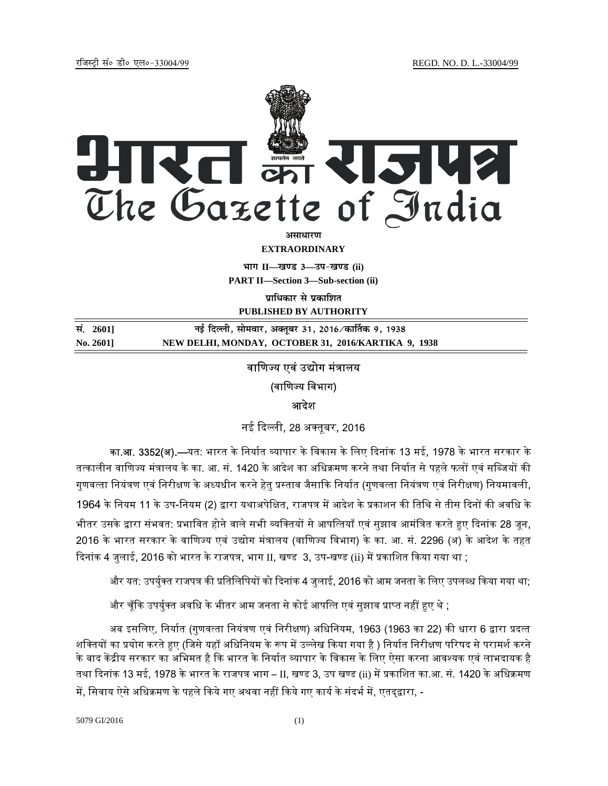

**EXTRAORDINARY**

**Hkkx II—[k.M 3—mi&[k.M (ii) PART II—Section 3—Sub-section (ii)** 

**पाधिकार से प्रकाशित PUBLISHED BY AUTHORITY**

<u>Randal 1938 and the Bartist star and the star and the star and the star and the star and the star and the star</u> **No. 2601] NEW DELHI, MONDAY, OCTOBER 31, 2016/KARTIKA 9, 1938**

# वाणिज्य एवं उद्योग मंत्रालय (वाणिज्य विभाग) आदशे

नई दिल्ली, 28 अक्तूबर, 2016

**का.आ. 3352(अ).—**यत: भारत के निर्यात व्यापार के विकास के लिए दिनांक 13 मई, 1978 के भारत सरकार के तत्कालीन वाणिज्य मंत्रालय के का. आ. सं. 1420 के आदेश का अधिक्रमण करने तथा निर्यात से पहले फलों एवं सब्जियों की गुणवत्ता नियंत्रण एवं निरीक्षण के अध्यधीन करने हेतु प्रस्ताव जैसाकि निर्यात (गुणवत्ता नियंत्रण एवं निरीक्षण) नियमावली, 1964 के नियम 11 के उप-नियम (2) द्वारा यथाअपेक्षित, राजपत्र में आदेश के प्रकाशन की तिथि से तीस दिनों की अवधि के भीतर उसके द्वारा संभवत: प्रभावित होने वाले सभी व्यक्तियों से आपत्तियाँ एवं सुझाव आमंत्रित करते हुए दिनांक 28 जून, 2016 के भारत सरकार के वाणिज्य एवं उद्योग मंत्रालय (वाणिज्य विभाग) के का. आ. सं. 2296 (अ) के आदेश के तहत दिनांक 4 जुलाई, 2016 को भारत के राजपत्र, भाग II, खण्ड 3, उप-खण्ड (ii) में प्रकाशित किया गया था ;

और यत: उपर्युक्त राजपत्र की प्रतिलिपियों को दिनांक 4 जुलाई, 2016 को आम जनता के लिए उपलब्ध किया गया था;

और चूँकि उपर्युक्त अवधि के भीतर आम जनता से कोई आपत्ति एवं सुझाव प्राप्त नहीं हुए थे ;

अब इसलिए, निर्यात (गुणवत्ता नियंत्रण एवं निरीक्षण) अधिनियम, 1963 (1963 का 22) की धारा 6 द्वारा प्रदत्त शक्तियों का प्रयोग करते हुए (जिसे यहाँ अधिनियम के रूप में उल्लेख किया गया है ) निर्यात निरीक्षण परिषद से परामर्श करने के बाद केंद्रीय सरकार का अभिमत है कि भारत के निर्यात व्यापार के विकास के लिए ऐसा करना आवश्यक एवं लाभदायक है तथा दिनांक 13 मई, 1978 के भारत के राजपत्र भाग – II, खण्ड 3, उप खण्ड (ii) में प्रकाशित का.आ. सं. 1420 के अधिक्रमण में, सिवाय ऐसे अधिक्रमण के पहले किये गए अथवा नहीं किये गए कार्य के संदर्भ में, एतद्द्वारा, -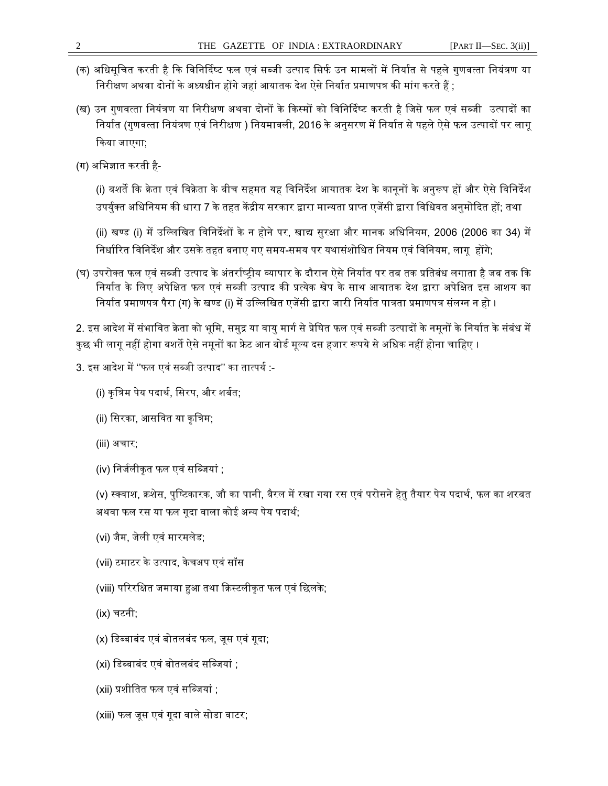- (क) अधिसूचित करती है कि विनिर्दिष्ट फल एवं सब्जी उत्पाद सिर्फ उन मामलों में निर्यात से पहले गुणवत्ता नियंत्रण या त्तिरीक्षण अथवा दोनों के अध्यधीन होंगे जहां आयातक देश ऐसे निर्यात प्रमाणपत्र की मांग करते हैं ;
- (ख) उन गुणवत्ता नियंत्रण या निरीक्षण अथवा दोनों के किस्मों को विनिर्दिष्ट करती है जिसे फल एवं सब्जी उत्पादों का निर्यात (गुणवत्ता नियंत्रण एवं निरीक्षण ) नियमावली, 2016 के अनुसरण में निर्यात से पहले ऐसे फल उत्पादों पर लागू ᳰकया जाएगा;
- (ग) अभिज्ञात करती है-

(i) बशर्ते कि क्रेता एवं विक्रेता के बीच सहमत यह विनिर्देश आयातक देश के कानूनों के अनुरूप हों और ऐसे विनिर्देश उपर्युक्त अधिनियम की धारा 7 के तहत केंद्रीय सरकार द्वारा मान्यता प्राप्त एजेंसी द्वारा विधिवत अनुमोदित हों; तथा

(ii) खण्ड (i) में उल्लिखित विनिर्देशों के न होने पर, खाद्य सुरक्षा और मानक अधिनियम, 2006 (2006 का 34) में निर्धारित विनिर्देश और उसके तहत बनाए गए समय-समय पर यथासंशोधित नियम एवं विनियम, लागू होंगे;

(घ) उपरोक्त फल एवं सब्जी उत्पाद के अंतर्राष्ट्रीय व्यापार के दौरान ऐसे निर्यात पर तब तक प्रतिबंध लगाता है जब तक कि निर्यात के लिए अपेक्षित फल एवं सब्जी उत्पाद की प्रत्येक खेप के साथ आयातक देश द्वारा अपेक्षित इस आशय का निर्यात प्रमाणपत्र पैरा (ग) के खण्ड (i) में उल्लिखित एजेंसी द्वारा जारी निर्यात पात्रता प्रमाणपत्र संलग्न न हो ।

2. इस आदेश में संभावित क्रेता को भूमि, समुद्र या वायु मार्ग से प्रेषित फल एवं सब्जी उत्पादों के नमूनों के निर्यात के संबंध में कुछ भी लागू नहीं होगा बशर्ते ऐसे नमूनों का फ्रेट आन बोर्ड मूल्य दस हजार रूपये से अधिक नहीं होना चाहिए ।

- 3. इस आदेश में ''फल एवं सब्जी उत्पाद'' का तात्पर्य :-
	- (i) कृत्रिम पेय पदार्थ, सिरप, और शर्बत:
	- (ii) सिरका, आसवित या कृत्रिम;
	- (iii) अचार;
	- (iv) निर्जलीकृत फल एवं सब्जियां ;

(v) स्क्वाश, क्रशेस, पुष्टिकारक, जौ का पानी, बैरल में रखा गया रस एवं परोसने हेतु तैयार पेय पदार्थ, फल का शरबत अथवा फल रस या फल गूदा वाला कोई अन्य पेय पदार्थ;

- (vi) जैम, जेली एवं मारमलेड;
- (vii) टमाटर के उत्पाद, केचअप एवं सॉस
- (viii) परिरक्षित जमाया हुआ तथा क्रिस्टलीकृत फल एवं छिलके;
- (ix) चटनी;
- (x) डिब्बाबंद एवं बोतलबंद फल, जूस एवं गूदा;
- (xi) डिब्बाबंद एवं बोतलबंद सब्जियां ;
- (xii) प्रशीतित फल एवं सब्जियां :
- (xiii) फल जूस एवं गूदा वाले सोडा वाटर;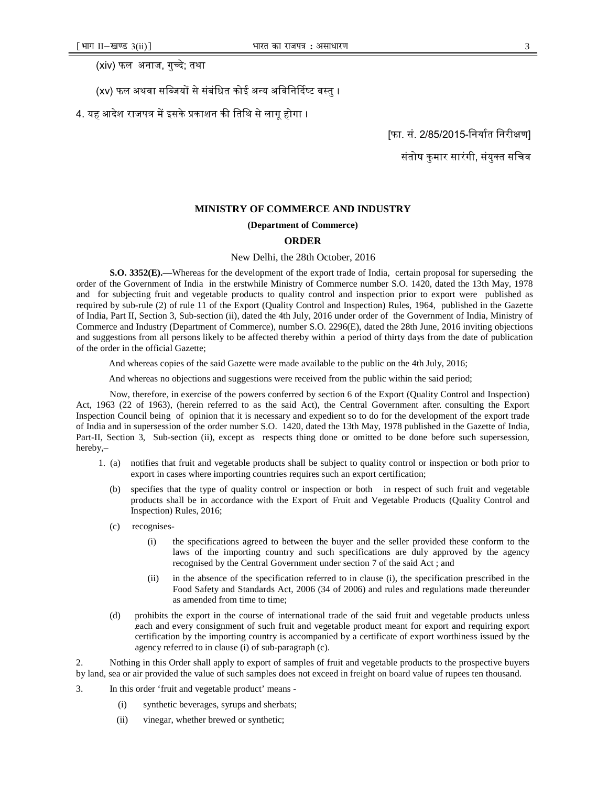(xiv) फल अनाज, गुच्दे; तथा

- (xv) फल अथवा सब्जियों से संबंधित कोई अन्य अविनिर्दिष्ट वस्तु ।
- 4. यह आदेश राजपत्र में इसके प्रकाशन की तिथि से लागू होगा ।

[फा. सं. 2/85/2015-निर्यात निरीक्षण]

### संतोष कुमार सारंगी, संयुक्त सचिव

#### **MINISTRY OF COMMERCE AND INDUSTRY**

#### **(Department of Commerce)**

### **ORDER**

#### New Delhi, the 28th October, 2016

**S.O. 3352(E).—**Whereas for the development of the export trade of India, certain proposal for superseding the order of the Government of India in the erstwhile Ministry of Commerce number S.O. 1420, dated the 13th May, 1978 and for subjecting fruit and vegetable products to quality control and inspection prior to export were published as required by sub-rule (2) of rule 11 of the Export (Quality Control and Inspection) Rules, 1964, published in the Gazette of India, Part II, Section 3, Sub-section (ii), dated the 4th July, 2016 under order of the Government of India, Ministry of Commerce and Industry (Department of Commerce), number S.O. 2296(E), dated the 28th June, 2016 inviting objections and suggestions from all persons likely to be affected thereby within a period of thirty days from the date of publication of the order in the official Gazette;

And whereas copies of the said Gazette were made available to the public on the 4th July, 2016;

And whereas no objections and suggestions were received from the public within the said period;

Now, therefore, in exercise of the powers conferred by section 6 of the Export (Quality Control and Inspection) Act, 1963 (22 of 1963), (herein referred to as the said Act), the Central Government after consulting the Export Inspection Council being of opinion that it is necessary and expedient so to do for the development of the export trade of India and in supersession of the order number S.O. 1420, dated the 13th May, 1978 published in the Gazette of India, Part-II, Section 3, Sub-section (ii), except as respects thing done or omitted to be done before such supersession, hereby,–

- 1. (a) notifies that fruit and vegetable products shall be subject to quality control or inspection or both prior to export in cases where importing countries requires such an export certification;
	- (b) specifies that the type of quality control or inspection or both in respect of such fruit and vegetable products shall be in accordance with the Export of Fruit and Vegetable Products (Quality Control and Inspection) Rules, 2016;
	- (c) recognises-
		- (i) the specifications agreed to between the buyer and the seller provided these conform to the laws of the importing country and such specifications are duly approved by the agency recognised by the Central Government under section 7 of the said Act ; and
		- (ii) in the absence of the specification referred to in clause (i), the specification prescribed in the Food Safety and Standards Act, 2006 (34 of 2006) and rules and regulations made thereunder as amended from time to time;
	- (d) prohibits the export in the course of international trade of the said fruit and vegetable products unless each and every consignment of such fruit and vegetable product meant for export and requiring export certification by the importing country is accompanied by a certificate of export worthiness issued by the agency referred to in clause (i) of sub-paragraph (c).

2. Nothing in this Order shall apply to export of samples of fruit and vegetable products to the prospective buyers by land, sea or air provided the value of such samples does not exceed in freight on board value of rupees ten thousand.

- 3. In this order 'fruit and vegetable product' means
	- (i) synthetic beverages, syrups and sherbats;
	- (ii) vinegar, whether brewed or synthetic;